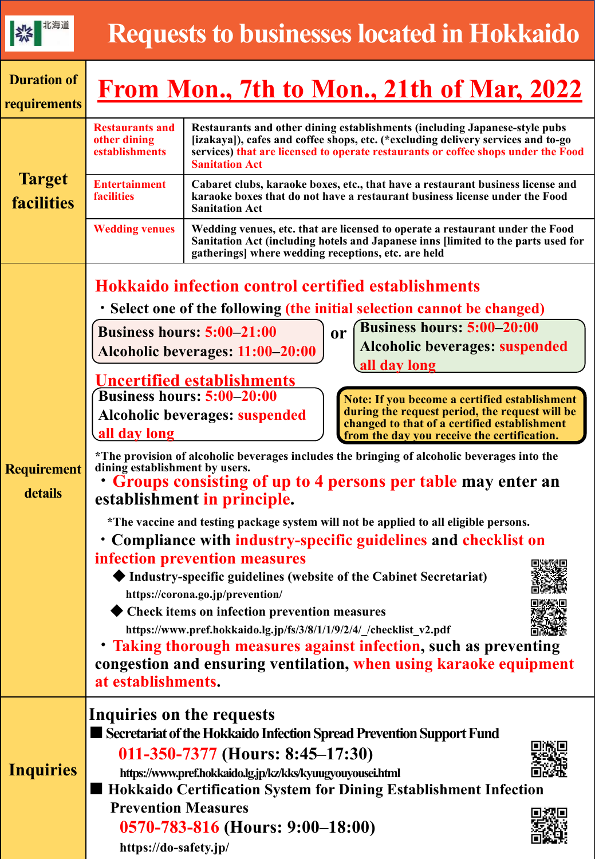|--|--|

| <b>Duration of</b><br>requirements |                                                                                  | From Mon., 7th to Mon., 21th of Mar, 2022                                                                                                                                                                                                                                                                                                                                                                                                                                                                                                                                                                                                                                                                                                                                                                                                                                                                                                                                                                                                                                                                                                                                                                                                                                                                                                                                                                                                                                   |  |  |  |
|------------------------------------|----------------------------------------------------------------------------------|-----------------------------------------------------------------------------------------------------------------------------------------------------------------------------------------------------------------------------------------------------------------------------------------------------------------------------------------------------------------------------------------------------------------------------------------------------------------------------------------------------------------------------------------------------------------------------------------------------------------------------------------------------------------------------------------------------------------------------------------------------------------------------------------------------------------------------------------------------------------------------------------------------------------------------------------------------------------------------------------------------------------------------------------------------------------------------------------------------------------------------------------------------------------------------------------------------------------------------------------------------------------------------------------------------------------------------------------------------------------------------------------------------------------------------------------------------------------------------|--|--|--|
| <b>Target</b><br><b>facilities</b> | <b>Restaurants and</b><br>other dining<br>establishments                         | Restaurants and other dining establishments (including Japanese-style pubs<br>[izakaya]), cafes and coffee shops, etc. (*excluding delivery services and to-go<br>services) that are licensed to operate restaurants or coffee shops under the Food<br><b>Sanitation Act</b>                                                                                                                                                                                                                                                                                                                                                                                                                                                                                                                                                                                                                                                                                                                                                                                                                                                                                                                                                                                                                                                                                                                                                                                                |  |  |  |
|                                    | <b>Entertainment</b><br><b>facilities</b>                                        | Cabaret clubs, karaoke boxes, etc., that have a restaurant business license and<br>karaoke boxes that do not have a restaurant business license under the Food<br><b>Sanitation Act</b>                                                                                                                                                                                                                                                                                                                                                                                                                                                                                                                                                                                                                                                                                                                                                                                                                                                                                                                                                                                                                                                                                                                                                                                                                                                                                     |  |  |  |
|                                    | <b>Wedding venues</b>                                                            | Wedding venues, etc. that are licensed to operate a restaurant under the Food<br>Sanitation Act (including hotels and Japanese inns [limited to the parts used for<br>gatherings] where wedding receptions, etc. are held                                                                                                                                                                                                                                                                                                                                                                                                                                                                                                                                                                                                                                                                                                                                                                                                                                                                                                                                                                                                                                                                                                                                                                                                                                                   |  |  |  |
| <b>Requirement</b><br>details      | all day long                                                                     | <b>Hokkaido infection control certified establishments</b><br>• Select one of the following (the initial selection cannot be changed)<br><b>Business hours: 5:00-20:00</b><br><b>Business hours: 5:00-21:00</b><br><b>or</b><br>Alcoholic beverages: suspended<br>Alcoholic beverages: 11:00-20:00<br>all day long<br><u><b>Uncertified establishments</b></u><br><b>Business hours: 5:00-20:00</b><br>Note: If you become a certified establishment<br>during the request period, the request will be<br>Alcoholic beverages: suspended<br>changed to that of a certified establishment<br>from the day you receive the certification.<br>*The provision of alcoholic beverages includes the bringing of alcoholic beverages into the<br>dining establishment by users.<br>• Groups consisting of up to 4 persons per table may enter an<br>establishment in principle.<br>*The vaccine and testing package system will not be applied to all eligible persons.<br>• Compliance with industry-specific guidelines and checklist on<br>infection prevention measures<br>回路發回<br>Industry-specific guidelines (website of the Cabinet Secretariat)<br>https://corona.go.jp/prevention/<br>Check items on infection prevention measures<br>https://www.pref.hokkaido.lg.jp/fs/3/8/1/1/9/2/4/_/checklist_v2.pdf<br>• Taking thorough measures against infection, such as preventing<br>congestion and ensuring ventilation, when using karaoke equipment<br>at establishments. |  |  |  |
| <b>Inquiries</b>                   | Inquiries on the requests<br><b>Prevention Measures</b><br>https://do-safety.jp/ | Secretariat of the Hokkaido Infection Spread Prevention Support Fund<br>011-350-7377 (Hours: 8:45-17:30)<br>https://www.pref.hokkaido.lg.jp/kz/kks/kyuugyouyousei.html<br>Hokkaido Certification System for Dining Establishment Infection<br>0570-783-816 (Hours: 9:00–18:00)                                                                                                                                                                                                                                                                                                                                                                                                                                                                                                                                                                                                                                                                                                                                                                                                                                                                                                                                                                                                                                                                                                                                                                                              |  |  |  |